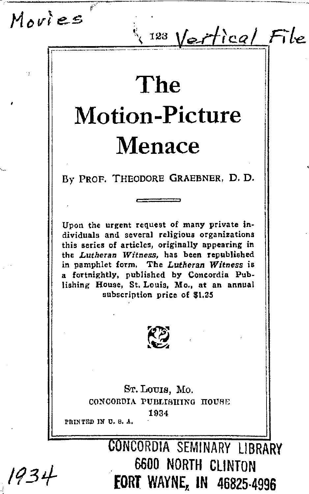--------,.7 .... -------------··-----·-·-- .M *cvi e-s* '

# **The Motion-Picture Menace**

123 Vertical File

By PROF. THEODORE GRAEBNER, D. D.

Upon the urgent request of many private in• dividuals and several religious organizations this series of articles, originally appearing in the *Lutheran Witness,* has been republished in pamphlet form. The *Lutheran Witness* is a fortnightly, published by Concordia Publishing House, St. Louis, Mo., at an annual subscription price of \$1.25



Sr. Louis, Mo. CONCORDIA PUBLIBIIINO IIOU8E 1934<br>**PRINTED IN U. S. A.** 

> CONCORDIA SEMINARY LIBRARY 6600 NORTH CLINTON **FORT WAYNE, IN 46825-4996**

 $1934$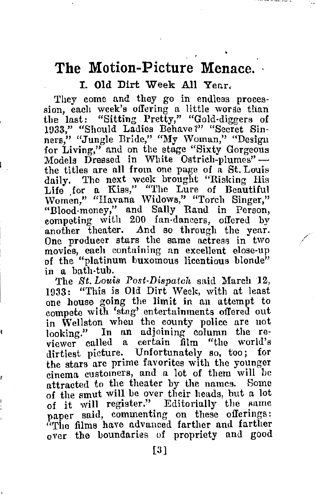# The Motion-Picture Menace.

## I. Old Dirt Week All Year,

They come and they go in endless procession, each week's offering a little worse than the last: "Sitting Pretty," "Gold-diggers of 1033," "Should Ladies Behave?" "Secret Sinners," "Jungle Bride," "My Woman," "Design for Living," and on the stage "Sixty Gorgeous Models Dressed in White Ostrich-plumes" the titles are all from one page of a St. Louis daily. The next week brought "Risking His Life for a Kiss," "The Lure of Beautiful Women," "Havana Widows," "Torch Singer," "Blood-money," and Sally Rand in Person, competing with 200 fan-dancers, offered by another theater. And so through the year. One producer stars the same actress in two movies, each containing an excellent elose-up of the "platinum buxomous licentious blonde" in a bath-tub.

The *St. Louis Post-Dispatch* said March 12, 1933: "This is Old Dirt Week, with at least one house going the limit in an attempt to compete with 'stag' entertainments offered out in Wellston when the county police are not looking." In an adjoining column the reviewer called a certain film "the world's dirtiest picture. Unfortunately so, too; for the stars are prime favorites with the younger cinema customers, and a lot of them will be attracted to the theater by the names. Some of the smut will be over their heads, but a lot of it will register." Editorially the same paper said, commenting on these offerings:<br>"The films have advanced farther and farther over the boundaries of propriety and good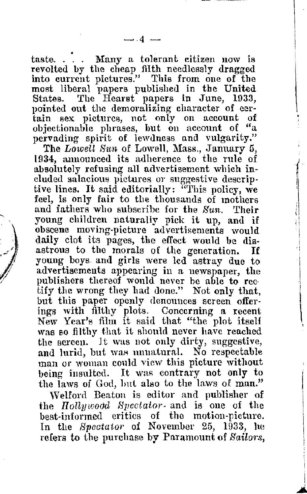taste. . . . Many a tolerant citizen now is revolted by the cheap filth needlessly dragged into current pictures." This from one of the most liberal 1mpers published in the United States. The Hearst papers in June, 1033, pointed out the demoralizing character of eer-<br>tain sex pictures, not only on account of objectionable phrases, hut on account of "a pervading spirit of lewdness and vulgarity."

The Lowell Sun of Lowell, Mass., January 5, 1934, mmouneed its adherence to the rule of absolutely refusing all advertisement which included salacious pictures or suggestive descriptive lines. It said editorially: "This policy, we feel, is only fair to the thousands of mothers and fathers who subscribe for the  $Sun$ . Their young children naturally pick it up, and if obscene moving-picture advertisements would daily clot its pages, the effect would be dis-<br>astrous to the morals of the generation. If astrous to the morals of the generation. young boys and girls were led astruy due to advertisements appearing in a newspaper, the publishers thereof would never be able to rec-<br>tify the wrong they had done." Not only that, but this paper openly denounces screen offerings with filthy plots. Concerning a. recent New Year's film it said that "the plot itself was so filthy that it should never have reached the screen. Jt was not only dirty, suggestive, and lurid, but was unnatural. No respectable man or woman could view this picture without being insulted. It was contrary not only to the laws of God, but also to the laws of man."

)

Welford Beaton is editor and publisher of the *Hollywood Spectator* and is one of the best-informed critics of the motion-picture. In the *Spectator* of November 25, 1933, he refers to the purchase by Paramount of *Sa,ilors,*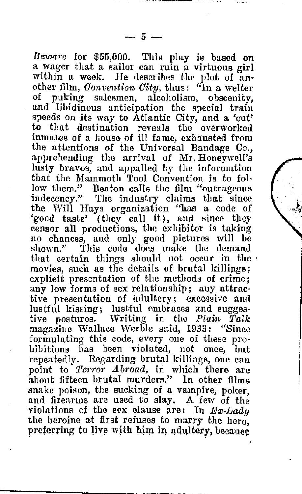*Beware* for \$55,000. This play is based on a wager that a sailor can ruin a virtuous girl within a week. He describes the plot of another film. *Convention City*, thus: "In a welter of puking salesmen, aleoholism, obscenity, and libidinous anticipation the special train speeds on its way to Atlantic City, and a 'cut' to that destination reveals the overworked inmates of a house of ill fame, exhausted from the attentions of the Universal Bandage Co., apprehending the arrival of  $Mr.$  Honeywell's lusty bravos, and appalled by the information that the Mammoth Tool Convention is to fol• low them." Deaton calls the film "outrageous indecency." The industry claims that since the Will Hays organization "has a code of 'good taste' (they call it), and since they censor all productions, the exhibitor is taking no chances, and only good pictures will be shown." This code does make the demand that certain things should not occur in the movies, such as the details of brutal killings; explicit presentation of the methods of crime; any low forms of sex relationship; any attractive presentation of adultery; excessive and lustful kissing; lustful embraces and sugges-<br>tive postures. Writing in the Plain Talk postures. Writing in the *Plain Talk* magazine Wallace \Verble said, 1933: "Since formulating this code, every one of tliese prohibitions has been violated, not once, but<br>repeatedly. Regarding brutal killings, one can point to *Terror Abroad*, in which there are about fifteen brutal murders." In other films snake poison, the sucking of a vampire, poker, and firearms are used to slay. A few of the violations of the sex clause are: In  $Ex\text{-}Lady$ the heroine at first refuses to marry the hero, preferring to live with him in adultery, because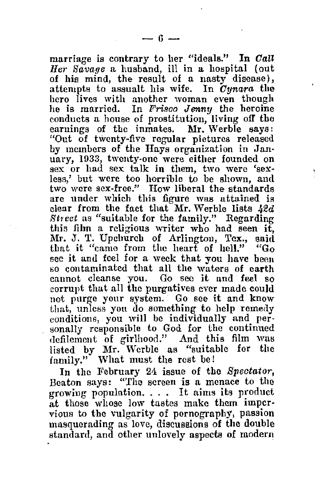marriage is contrary to her "ideals." In Call *Jlei· Savage* a husband, ill in a hospital (out of his mind, the result of a nasty disease), attempts to assualt his wife. In *Oynara* the hero lives with another woman even though he is married. In *Frisco Jenny* the heroine conducts a house of prostitution, living off the earnings of the inmates. Mr. Werble says: "Out of twenty-five regular pictures released by members of the Hays organization in Jan-<br>uary, 1933, twenty-one were either founded on sex or had sex talk in them, two were 'sexless,' but were too horrible to be shown, and two were sex-free." How liberal the standards are under which this figure was attained is clear from the fact that Mr. Werble lists  $42d$ Street as "suitable for the family." Regarding this film a religious writer who had seen it, Mr. J. T. Upchurch of Arlington, Tex., said<br>that it "came from the heart of hell." "Go see it and feel for a week that you have been<br>so contaminated that all the waters of earth cannot cleanse you. Go seo it and feel so corrupt that all the purgatives ever made could not purge your system. Go see it and know that, unless you do something to help remedy conditions, you will be individually and personally responsible to God for the continued defilement of girlhood." And this film was listed by Mr. Werble as "suitable for the family.'' What must the rest be!

In the February 24 issue of the *Spectator*, Beaton says: "The screen is a menace to the growing population. . . . It aims its product at those whose low tastes make them impervious to the vulgarity of pornography, passion masquerading as love, discussions of the double standard, and other unlovely aspects of modern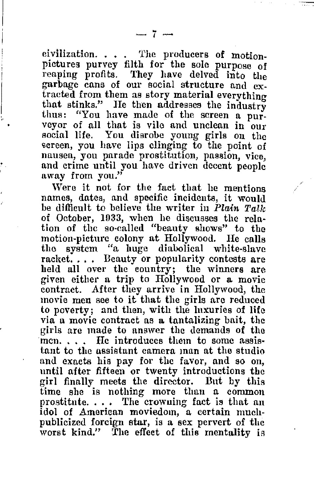eivilization.  $\ldots$  . The producers of motionpictures purvey filth for the sole purpose of reaping profits. They have delved into the garbage cans of our social structure and extracted from them as story material everything that stinks." He then addresses the industry thus: "You have made of the screen a pur-<br>veyor of all that is vile and unclean in our social life. You disrobe young girls on the screen, you have lips clinging to the point of nausea, you parade prostitution, passion, vice, and crime until you have driven decent people away from you."

Were it not for the fact that he mentions names, dates, and specific incidents, it would be difficult to believe the writer in Plain  $T$ alk of October, 1033, when he discusses the relation of the so-called "beauty shows" to the motion-picture colony at Hollywood. He calls the system "a huge diabolical white-slave racket.... Beauty or popularity contests are held all over the country; the winners are given either a trip to Hollywood or a movie contract. After they arrive in Hollywood, the movie men see to it that the girls are reduced to poverty; and then, with the luxuries of life via a movie contract as a tantalizing bait, the men.  $\ldots$  He introduces them to some assistant to the nssistant camera man at the studio and exacts his pay for the favor, and so on, until after fifteen or twenty introductions the girl finally meets the director. But by this time she is nothing more than a common prostitute. . . . The crowning fact is that an idol of American moviedom, a certain muchpublicized foreign star, is a sex pervert of the worst kind." The effect of this mentality is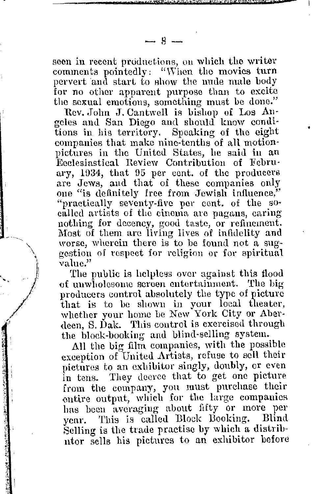seen in recent productions, on which the writer comments pointedly: "When the movies turn pervert and start to show the nude male body for no other apparent purpose than to excite the sexual emotions, something must be done,"

Rev. John J. Cantwell is bishop of Los Angeles and San Diego and should know conditions in his territory. Speaking of the eight companies that make nine-tenths of all motion-<br>pictures in the United States, he said in an Peclesiastical Review Contribution of February, 1934, that 95 per cent. of the producers are Jews, and that of these companies only one "is definitely free from Jewish influence," "practically seventy-five per cent. of the so• called artists of the cinema am pagans, earing nothing for decency, good taste, or refinement. Most of them are living lives of infidelity and worse, wherein there is to be found not a suggestiou of respect for religion or for spiritual **value.''** 

The public is helpless over against this tlood of unwholesome screen entertainment. The big producers control absolutely the type of picture that is to be shown in your local theater, whether your home be New York City or Aberdeen, S. Dak. This control is exercised through the block-booking and blind-selling system.

All the big film companies, with the possible exception of United Artists, refuse to sell their pictures to an exhibitor singly, doubly, or even in tens. Thev decree that to get one picture from the company, you must purchase their entire output, which for the large companies has been averaging about fifty or more per venr. This is called Block Booking. Blind vear. This is called Block Booking. Selling is the trade practise by which a distributor sells his pictures to an exhibitor before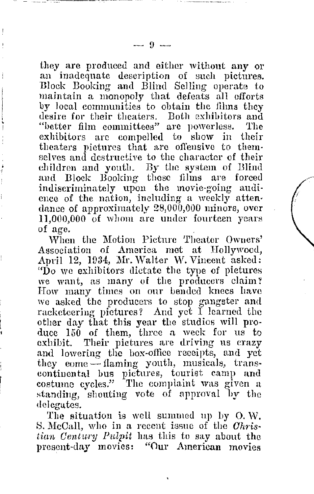they are produced and either without any or<br>an inadequate description of such pictures. Illock Booking and Blind Selling operate to maintain a monopoly that defeats all efforts by local communities to obtaiu the films they desire for their theaters. Both exhibitors and "better film committees" are powerless. The exhibitors are compelled to show in their theaters pictures that are offensive to themselves and destructive to the character of their children and youth. By the system of Blind and Block Booking these films are forced indiscriminately upon the movie-going audience of the nation, including a weekly attendance of approximately 28,000,000 minors, over 11,000,000 of whom are under fourteen years of age.

 $\sqrt{2}$ 

When the Motion Picture Theater Owners' Association of America met at Hollywood, April 12, 1934, Mr. Walter W. Vincent asked:<br>"Do we exhibitors dictate the type of pictures we want, as many of the producers claim? How many times on our bended knees have we asked the producers to stop gangster and racketeering pictures? And yet I learned the other day that this year the studios will produce 150 of them, three a week for us to exhibit. Their pictures are driving us crazv and lowering the box-office receipts, und yet they come  $\sim$  flaming youth, musicals, transcontinental bus pictures, tourist camp and costume cycles." The complaint was given a standing, shouting vote of approval by the delegates.

The situation is well summed up by O.W. S. McCall, who in a recent issue of the *Ohris*• *tian Century Pulpit* has this to say about the present-day movies: "Our American movies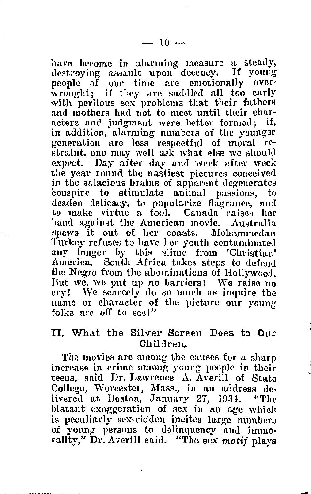have become in alarming measure a steady, destroying assault upon decency. If young<br>neonle of our time are emotionally overwrought; if they arc saddled all too carly with perilous sex problems that their fathers and mothers had not to meet until their churacters and judgment were better formed: if, in addition, alarming numbers of the younger straint, one may well ask what else we should expect. Day after day and week after week the year round the nastiest pictures conceived in the salacious brains of apparent degenerates conspire to stimulate animal passions, deaden delicacy, to popularize flagrance, and to make virtue a fool. Canada raises her hand against the American movie. Australia spews it out of her coasts. Mohammedan Turkey refuses to have her youth contaminated any longer by this slime from 'Christian' America. South Africa takes steps to defend the Negro from the abominations of Hollywood.<br>But we, we put up no barriers! We raise no ery! We scarcely do so much as inquire the name or character of the picture our young folks are off to sec!"

### II. What the Silver Screen Does to **Our**  Children.

The movies are among the causes for a sharp increase in crime among young people in their teens, said Dr. Lawrence A. Averill of State College, Worcester, Mass., in an address de-<br>livered at Boston, January 27, 1934. "The livered at Boston, January 27, 1934. blatant exaggeration of sex in an age which is peculiarly sex-ridden incites large numbers of young persons to delinquency and immorality," **Dr.** Averill said. "The sex *motif* plays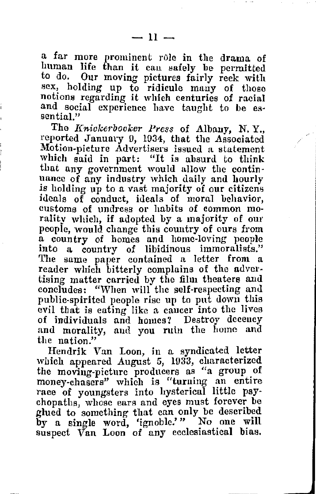a far more prominent role in the drama of human life than it can safely be permitted to do. Our moving pictures fairly reek with sex, holding up to ridicule many of those notions regarding it which centuries of racial and social experience have taught to be es-

The *Knickerbocker Press* of Albany, N.Y., reported January O, 1034, that the Associated Motion-picture Advertisers issued a statement which said in part: "It is absurd to think that any government would allow the continuance of any industry which daily and hourly is holding up to a vast majority of our citizens ideals of conduct, ideals of moral behavior, rality which, if adopted by a majority of our people, would change this country of ours from a country of homes and home-loving people into a country of libidinous immoralists." reader which bitterly complains of the advertising matter carried by the film theaters and concludes: "When will the self-respecting and public-spirited people rise up to put down this evil that is eating like a cancer into the lives of individuals and homes *1* Destroy decency and morality, and you ruin the home and the nation."

Hendrik Van Loon, in a syndicated letter which appeared August 5, 1033, characterized the moving-picture producers as "a group of money-chasers" which is "turning an entire race of youngsters into hysterical little psychopaths, whose ears and eyes must forever be glued to something that can only be described by a single word, 'ignoble.'" No one will suspect Van Loon of any ecclesinstieal bias.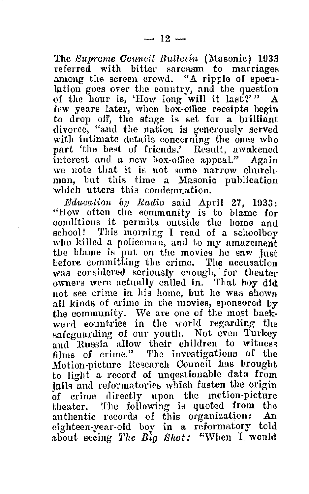The *Supreme Council Bulletin* (Masonic) 1033 referred with bitter sarcasm to marriages among the screen crowd. "A ripple of speculation goes over the country, and the question of the hour is, 'How long will it last?'"  $A$ few years later, when box-office receipts begin to drop off, the stage is set for a brilliant divorce, "and the nation is generously served with intimate details concerning the ones who part 'the best of friends.' Result, awakened interest aml a new box-office appeal.'' Again we note that it is not some narrow churchman, but this time a Masonic publication which utters this condemnation.

*Ediwation by Radio* said April 27, 1033: "How often the community is to blame for conditions it permits outside the home and school! This morning I read of a schoolboy who killed a policeman, and to my amazement the blame is put on the movies he saw just<br>before committing the crime. The accusation was considered seriously enough, for theater owners were actually called in. That boy did not see crime in his home, but he was shown all kinds of crime in the movies, sponsored  $b\bar{v}$ the community. We are one of the most baekward countries in the world regarding the safeguarding of our youth. Not even Turkey and Russia allow their children to witness films of crime." The investigations of the Motion-picture Research Council has brought to light a record of unqestionable data from jails and reformatories which fasten the origin of crime directly upon the motion-picture theater. The following is quoted from the authentic records of this organization: An eighteen-year-old boy in a reformatory told about seeing *The Big Shot:* "When I would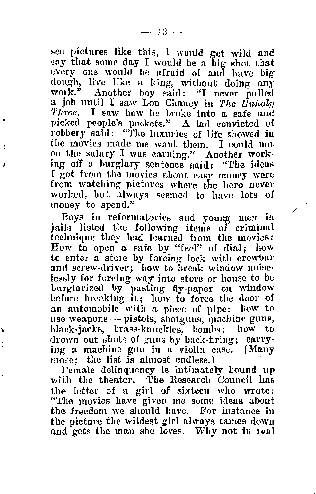see pictures like this, I would get wild and say that some day I would be a big shot that every one would be afraid of and have big dough, live like a king, without doing any work." Another boy said: "I never pulled a job until I saw Lon Chaney in The Unholy *'l'hrec.* I saw how he broke into a safe and picked people's pockets." A lad convicted of robbery said: "The luxuries of life showed in<br>the movies made me want them. I could not on the salary I was earning." Another work• ing off a burglary sentence said: "The ideas from watching pictures where the hero never<br>worked, but always seemed to have lots of money to spend."

Boys in reformatories and young men in jails listed the following items of criminal technique they had learned from the movies: How to open a safe by "feel" of dial; bow to enter a store by forcing lock with crowbar and screw-driver; how to break window noiselessly for forcing way into store or house to be burglarized by pasting fly-paper on window before breaking it; how to force the door of an automobile with a piece of pipe; how to use weapons -- pistols, shotguns, machine guns, black-jacks, brass-knuckles, bombs; how to drown out shots of guns by back-firing; carrying a machine gun in a violin case. **(Many** 

Female delinquency is intimately bound up with the theater. The Research Council has the letter of a girl of sixteen who wrote; "The movies have given me some ideas about the freedom we should have. For instance in the picture the wildest girl always tames down and gets the man she loves. Why not in real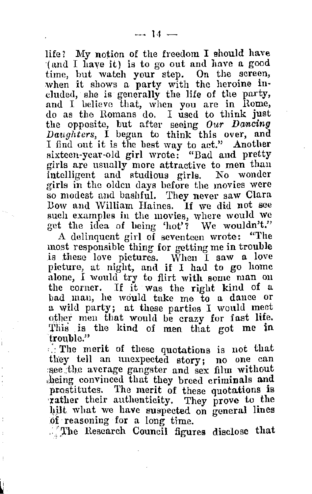life? My notion of the freedom I should have ·( mid I have it) is to go out and lmve a good time, but watch your step. On the screen, when it shows a party with the heroine ineluded, she is generally the life of the party, and I believe that, when you are in Rome, do as the Romans do. I used to think just the opposite, but after seeing  $Our$  Dancing *Daughters*, I began to think this over, and I find out it is the best way to act." Another sixteen-year-old girl wrote: "Dad and pretty girls are usually more attractive to men than intelligent and studious girls. No wonder so modest and bashful. They never saw Clara<br>Bow and William Haines. If we did not see such examples in the movies, where would we get the idea of being 'hot'? We wouldn't."

A delinquent girl of seventeen wrote: "The most responsible thing for getting me in trouble is these love pictures. When I saw a love picture, at night, and if I had to go home alone, I would try to flirt with some man on the corner. If it was the right kind of a bad man, he would take me to a dance or a wild party; at these partiei, I would meet other men that would be crazy for fast life. This is the kind of men that got me in trouble."

 $\therefore$  The merit of these quotations is not that they tell an unexpected story; no one can see the average gangster and sex film without ,heing convinced that they breed criminals **and**  prostitutes. The merit of these quotations is ·rather their authenticity. They prove to the hilt what we have suspected on general lines of reasoning for a long time.

. The Research Council figures disclose that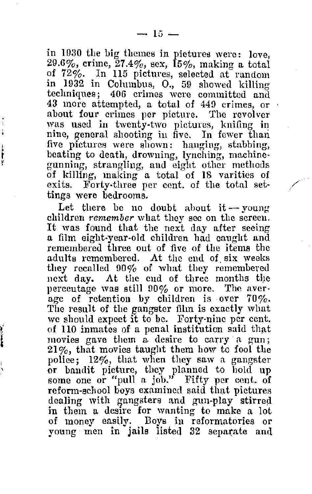in 1930 the big themes in pictures were: love, 29.6%, crime,  $27.4\%$ , sex,  $15\%$ , making a total of 72%. In 115 pictures, selected at random in 1932 in Columbus, 0., 59 showed killing techniques; 406 crimes were committed and 43 more attempted, a total of 449 crimes, or was used in twenty-two pictures, knifing in nine, general shooting in five. In fewer than five pictures were shown: hanging, stabbing, beating to death, drowning, lynching, machinegunning, strangling, and eight other methods of killing, making a total of 18 varities of exits. Forty-three per cent. of the total settings were bedrooms.

Let there be no doubt about it -- young children remember what they see on the sereen. It was found that the next day after seeing<br>a film eight-year-old children had caught and remembered three out of five of the items the adults remembered. At the end of six weeks they recalled 90% of what they remembered next day. At the end of three months the percentage was still 90% or more. The average of retention by children is over 70%. The result of the gangster film is exactly what we should expect it to be. Forty-nine per cent. of 110 inmates of a penal institution said that movies gave them a desire to carry a gun;  $21\%$ , that movies taught them how to fool the police;  $12\%$ , that when they saw a gangster police; 12%, that when they saw a gangster or bandit picture, they planned to hold up some one or "pull a job." Fifty per cent. of reform-school boys examined said that pictures dealing with gangsters and gun-play stirred in them a desire for wanting to make a lot of money easily. Boys in reformatories or young men in jails listed 32 separate and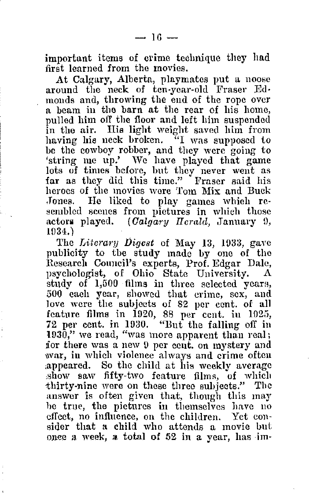important items of crime technique they had first learned from the movies.<br>At Calgary, Alberta, playmates put a noose

around the neck of ten-year-old Fraser Ed-<br>monds and, throwing the end of the rope over n beam in the barn at the rear of his home. pulled him off the floor and left him suspended in the air. His light weight saved him from having his neck broken. "I was supposed io be the cowboy robber, and they were going to 'string me up.' We have played that game lots of times before, but they never went as far as they did this time." Fraser said his heroes of the movies were Tom Mix and Buck<br>Jones. He liked to play games which resembled scenes from pictures in which those actors played. *(Calgary Herald, January 9,* 1()34.)

The *Literarv Digest* of May 13, 1033, gave publicity to the study made by one of the Research Council's experts, Prof. Edgar Dale, psychologist, of Ohio State University. study of 1,500 films in three selected years, 500 each year, showed that crime, sex, and Jove were the subjects of 82 per cent. of all feature films in 1920, 88 per cent. in 1925, :72 per cent. in 1030. "But the falling off in l030," we read, "was more apparent than real; for there was a new 9 per cent. on mystery and \War, in which violence always and crime often ,appeared. So the child at his weekly average show saw fifty-two feature films, of which thirty-nine were on these three subjects." The answer is often given that, though this may he true, the pictures in themselves have no effect, no influence, on the children. Yet coneffect, no influence, on the children. Yet consider that a child who attends a movie but once a week, **a** total of 52 in a year, has im-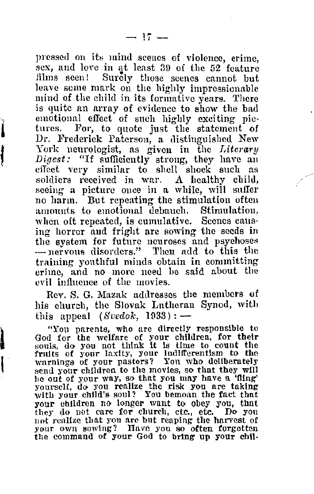pressed on its mind scenes of violence, crime, sex, and love in at least 39 of the 52 feature films seen! Surely those seenes cannot but leave some mark on the highly impressionable mind of the child in its formative years. There is quite an array of evidence to show the bad emotional effect of such highly exciting pic-<br>tures. For, to quote just the statement of For, to quote just the statement of Dr. Frederick Paterson, a distinguished New York neurologist, as given in the *I,iterary Digest:* "If sufficiently strong, they have an clfoet very similar to shell shock such as soldiers received in war. A healthy child, seeing a picture once in a while, will suffer no harm. But repeating the stimulation often amounts to emotional debauch. Stimulation, when oft repeated, is cumulative. Scenes causing horror and fright arc sowing the seeds in the system for future neuroses and psychoses - nervous disorders." Then add to this the training youthful minds obtain in committing crime, and no more need be said about the evil influence of the movies.

Rev. S. G. Mazak addresses the members of his church, the Slovak Lutheran Synod, with this appeal  $(Svedok, 1933)$ : -

"You parents, who are directly responsible to God for the welfare of your chlluren, for their souls, do you not think it is time to count the fruits of your laxity, your indifferentism to the warnings of your pastors? You who deliberately send your children to the movies, so that they will be out of your way, so that you may have a 'fling' he out or your way, so that you may have a 'fling' yourself, do you realize the risk you are taking with your child's soul? You bemoan the fact that your children no longer want to obey you, that they do not care for church, etc., etc. Do you not realize that you are but reaping the harvest of your own sowing? Have you so often forgotten the command of your God to bring up your chil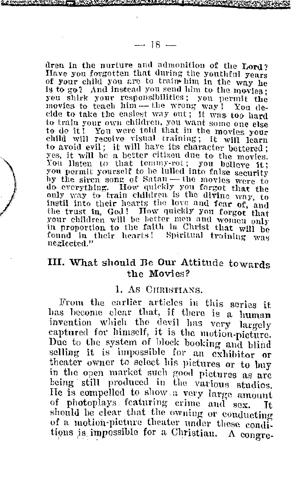dren in the nurture and admonition of the Lord?<br>Have you forgotten that during the youthful years of your child you are to train- him in the way he is to go? And instead you send him to the movies: you shirk your responsibilities; you permit the movies to teach him - the wrong way! You de-<br>cide to take the casiest way out; it was too hard to train your own children, you want some one else to do it! You were told that in the movies your child will receive visual training; it will learn to avoid evil; it will have its character bettered; yes, it will he a better citizen due to the movies. You listen to that tommy-rot; you believe it; you permit yourself to be lulled into false security<br>by the siren song of Satan — the movies were to do everything. How quickly you forgot that the only way to train children is the divine way, to instil into their hearts the love and fear of, and the trust in, God! How quickly you forgot that your children will be better men and women only in proportion to the faith in Christ that will be found in their hearts! Spiritual training was

) and the sequence of  $\mathcal{L}^{(n)}$  , and the sequence of  $\mathcal{L}^{(n)}$  , and  $\mathcal{L}^{(n)}$ 

### III. What should De Our Attitude towards the Movies?

#### 1. As CHRISTIANS.

From the earlier articles in this series it has become clear that, if there is a human invention which the devil has very largely captured for himself, it is the motion-picture. Due to the system of block booking and blind<br>selling it is impossible for an exhibitor or theater owner to select his pictures or to buy<br>in the open market such good pictures as are being still produced in the various studios. He is compelled to show a very large amount of photoplays featuring crime and sex. should be clear that the owning or conducting of a motion-picture theater under these conditions is impossible for a Christian.  $\Lambda$  congre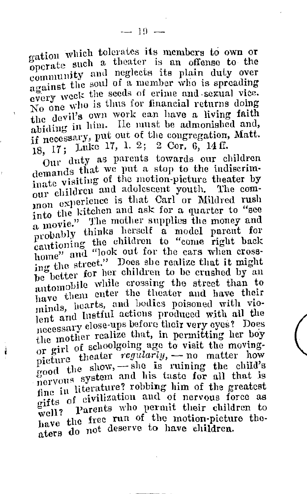gation which tolerates its members to own or operate such a theater is an offense to the community and neglects its plain duty over against the soul of a member who is spreading every week the seeds of erime and sexual vice. No one who is thus for financial returns doing the devil's own work can have a living faith abiding in him. He must be admonished and, if necessary, put out of the congregation, Matt. 18, 17; Luke 17, 1. 2; 2 Cor. 6, 14 ff.

Our duty as parents towards our children demands that we put a stop to the indiscriminate visiting of the motion-picture theater by our children and adolescent youth. The com· mon experience is that Carl or Mildred rush into the kitchen and ask for a quarter to "see a movie." The mother supplies the money and probably thinks herself a model parent for rationing the children to "come right back home" and "look out for the cars when crossnome and one she realize that it might be better for her children to be crushed by an automobile while crossing the street than to have them enter the theater and have their minds, hearts, and bodies poisoned with violent and lustful actions produced with all the necessary close-ups before their very eyes? Does the mother realize that, in permitting her boy or girl of schoolgoing age to visit the movingpicture theater *regularly*, - no matter how<br>good the show, - she is ruining the child's good engagement and his taste for all that is fine in literature? robbing him of the greatest gifts of civilization and of nervous force as well? Parents who permit their children to have the free run of the motion-picture theaters do not deserve to have children.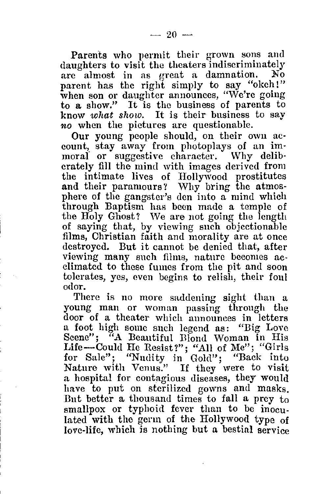Parents who permit their grown sons and daughters to visit the theaters indiscriminately are almost in as great a damnation. No parent has the right simply to say "okeh!" when son or daughter announces, "We're going to a show." It is the business of parents to know *what show.* It is their business to say *no* when the pictures are questionable.

count, stay away from photoplays of an immoral or suggestive character. Why deliberately fill the mind with images derived from the intimate lives of Hollywood prostitutes and their paramours? Why bring the atmosphere of the gangster's den into a mind which through Baptism has been made a temple of the Holy Ghost? We are not going the length of saying that, by viewing such objectionable films. Christian faith and morality are at once destroyed. But it cannot be denied that, after viewing many such films, nature becomes ac- climated to these fumes from the pit and soon tolerates, yes, even begins to relish, their foul odor.

There is no more saddening sight than a young man or woman passing through the door of a theater which announces in letters a foot high some such legend as: "Big Love Scene"; "A Beautiful Blond Woman in His Life-Could He Resist?"; "All of Me"; "Girls for Sale"; "Nudity in Gold"; "Back into<br>Nature with Venus." If they were to visit a hospital for contagious diseases, they would have to put on sterilized gowns and masks. But better a thousand times to fall a prey  $t_0$ smallpox or typhoid fever than to be inoculated with the germ of the Hollywood type of love-life, which is nothing but a bestial service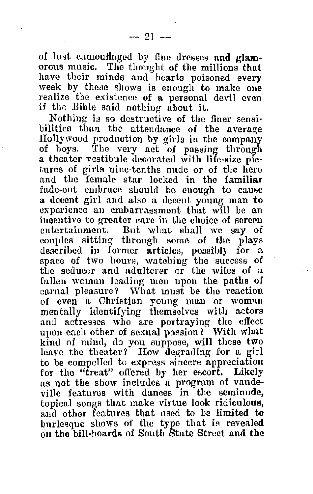of lust camouflaged by fine dresses and glam- orous music. The thought of the millions that have their minds and hearts poisoned every<br>week by these shows is enough to make one realize the existence of a personal devil even if the Bible said nothing about it.

Nothing is so destructive of the finer sensi• bilities than the attendance of the average Hollywood production by girls in the company a theater vestibule decorated with life-size pietures of girls nine-tenths nude or of the hero and the female star locked in the familiar a deeent girl and also a decent young man to experience an embarrassment that will be an incentive to greater care in the choice of screen entertainment. But what shall we say of couples sitting through some of the plays<br>described in former articles, possibly for a space of two hours, watching the success of the seducer and adulterer or the wiles of a fallen woman leading men upon the paths of carnal pleasure? What must be the reaction of even a Christian young man or woman mentally identifying themselves with actors and actresses who are portraying the effect upon each other of sexual passion? With what kind of mind, do you suppose, will these two leave the theater? How degrading for a girl to be compelled to express sincere appreciation<br>for the "treat" offered by her escort. Likely as not the show includes a program of vaudeville features with dances in the seminude, topical songs that make virtue look ridiculous, and other features that used to be limited to burlesque shows of the type that is revealed on the bill-boards of South State Street and the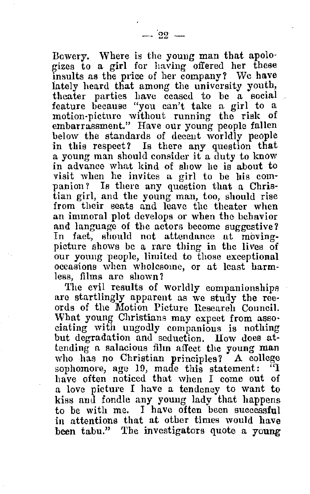Bowery. Where is the young man that apolo· gizes to a girl for having offered her these insults as the price of her company? We have lately heard that among the university youth, theater parties have ceased to be a social<br>feature because "vou can't take a girl to a motion-picture without running the risk of embarrassment." Have our young people fallen below the standards of decent worldly people in this respect? Is there any question that a young man should consider it a duty to know in advance what kind of show he is about to visit when he invites a girl to be his companion? Is there any question that a Christian girl, and the young man, too, should rise<br>from their seats and leave the theater when an immoral plot develops or when the behavior and language of the actors become suggestive? In fact, should not attendance at movingpicture shows be a rare thing in the lives of our young people, limited to those exceptional occasions when wholesome, or at least harm-

less, films are shown?<br>The evil results of worldly companionships are startlingly apparent as we study the ree-<br>ords of the Motion Picture Research Council. What young Christians may expect from asso-<br>ciating with ungodly companions is nothing but degradation and seduction. How does attending a salacious film affect the young man who has no Christian principles? A college sophomore, age 19, made this statement:  $^{17}$ <br>have often noticed that when I come out of a love picture I have a tendency to want to kiss and fondle any young lady that happens to be with me. I have often been successful in attentions that at other times would have been tabu." The investigators quote a young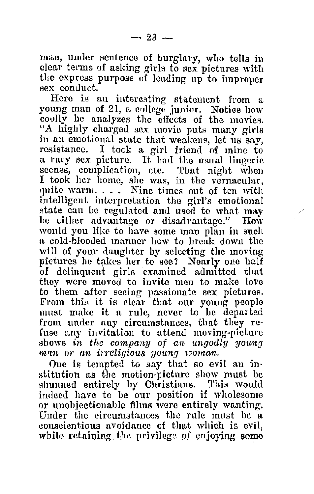man, under sentence of burglary, who tells in clear terms of asking girls to sex pictures with the express purpose of leading up to improper sex conduct.

young man of 21, a college junior. Notiee how coolly he analyzes the effects of the movies. "A highly charged sex movie puts many girls in an emotional state that weakens, let us say, resistance. I took a girl friend of mine to a racy sex picture. It had the usual lingerie seenes, complication, etc. That night when I took her hornc, she was, in the vernacular, quite warm. . . . Nine times out of ten with intelligent interpretation the girl's emotional state can be regulated and used to what may be either advantage or disadvantage." How would you like to have some man plan in such a cold-blooded manner how to break down the will of your daughter by selecting the moving pictures he takes her to see? Nearly one half of delinquent girls examined admitted that they were moved to invite men to make love to them after seeing passionate sex pictures. From this it is clear that our young people must make it a rule, never to be departed<br>from under any circumstances, that they refuse any invitation to attend moving-picture shows in the company of an ungodly young man or an irreligious young woman.

One is tempted to say that so evil an in• stitution as the motion-picture show must be shunned entirely by Christians. This would indeed have to be our position if wholesome or unobjectionable films were entirely wanting. Under the circumstances the rule must be a conscientious avoidance of that which is evil, while retaining the privilege of enjoying some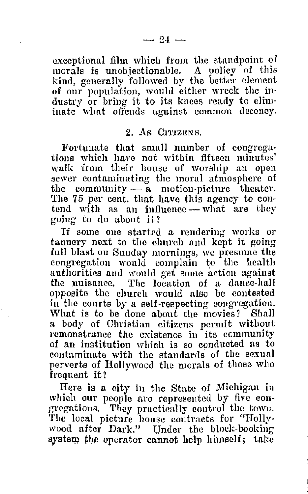exceptional film which from the standpoint of morals is unobjectionable. A policy of this kind, generally followed by tho better clement of our population, would either wreck the in· dustry or bring it to its knees ready to elim· inate what offends against common decency.

#### 2. As CITIZENS.

Fortunate that small number of congregations which have not within fifteen minutes' walk from their house of worship an open sewer contaminating the mornl atmosphere of the community  $-\tilde{a}$  motion-picture theater. The 75 per cent. that have this agency to con-<br>tend with as an influence --- what are they going to do about it?

If some one started a rendering works or tannery next to the church and kept it going full blast on Sunday mornings, we presume the congregation would complain to the health authorities and would get some action against the nuisance. The location of a dance-hall opposite the church would also be contested in the courts by a self-respecting congregation.<br>What is to be done about the movies? Shall What is to be done about the movies? a body of Christian citizens permit without remonstrance the existence in its community of an institution which is so conducted as to contaminate with the standards of the sexual perverts of Hollywood the morals of those who frequent it?

Here is a city in the State of Michigan in which our people are represented by five congregations. They practically control the town. The local picture house contracts for "Hollywood after Dark." Under the block-booking system the operator cannot help himself; take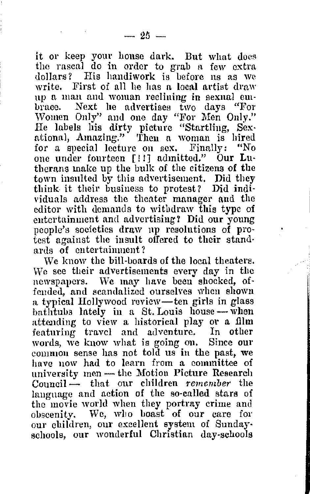it or keep your house dark. But what does the rascal do in order to grab a few extra<br>dollars? His handiwork is before us as we write. First of all he has a local artist draw<br>up a man and woman reclining in sexual embrace. Next he advertises two days "For Women Only" and one day "For Men Only." He labels his dirty picture "Startling, Sex• ational, Amazing." Then a wonmu is hired for a special lecture on sex. Finally: "No one under fourteen [!!] admitted." Our Lutherans make up the bulk of the citizens of the town insulted by this advertisement. Did they think it their business to protest? Did indi· viduals address the theater manager and the editor with demands to withdraw this type of entertainment and advertising? Did our young people's societies draw np resolutions of protest against the insult offered to their standards of entertainment?

We know the bill-boards of the local theaters. We see their advertisements every day in the newspapers. We may have been shocked, offended, and scandalized ourselves when shown a typical Hollywood review-ten girls in glass  $b$ athtubs lately in a St. Louis house - when attending to view a historical play or a film featuring travel and adventure. In other common sense has not told us in the past, we have now had to learn from a committee of university men - the Motion Picture Research Council - that our children *remember* the language and action of the so-called stars of the movie world when they portray crime and obscenity. We, who boast of our care for our children, our excellent system of Sunday• schools, our wonderful Christian day-schools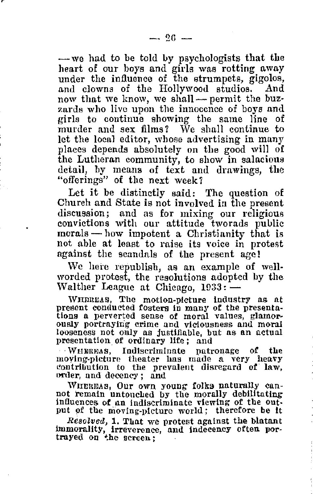- we had to be told by psychologists that the heart of our boys and girls was rotting away under the influence of the strumpets, gigolos, now that we know, we shall — permit the buzzards who live upon the innocence of boys and girls to continue showing the same line of murder and sex films? We shall continue to let the local editor, whose advertising in many places depends absolutely on the good will of the Lutheran community, to show in salacious detail, by means of text and drawings, the "offerings" of the next week?

Let it be distinctly said: The question of Church and State is not involved in the present discussion; and as for mixing our religious convictions with our attitude tworads public morals - how impotent a Christianity that is not able at least to raise its voice in protest against the scandals of the present age!

We here republish, as an example of wellworded protest, the resolutions adopted by the Walther League at Chicago,  $1933:$   $-$ 

WHEREAS, The motion-picture industry as at present conducted fosters in many of the presentations a perverted sense of moral values, glamor-ously portraying crime and viciousness and moral looseness not only as justifiable, but as an actual presentation of ordinary life; and

. WHEREAS, Indiscriminate patronage of the moving-picture theater has made a very heavy contribution to the prevalent disregard of law, order, and decency; and

WHERBAS, Our own young folks naturally can-<br>not remain untouched by the morally debilitating<br>indication indiscriminate viewing of the output of the moving-picture world; therefore be it

Resolved, 1. That we protest against the blatant immorality, irreverence, and lndeeency often por- trayed on ~he screen ;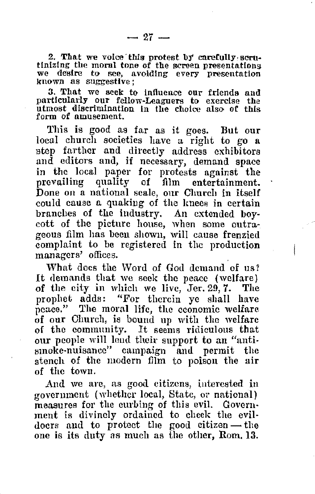2. That we voice this protest by carefully serutlnizing the moral tone of the screen presentations we desire to see, avoiding every presentation known as suggestive;

3. That we seek to Influence our frlends and particularly our fellow-Leaguers to exercise the utmost discrimination In the choice also of this form of amusement.

'!'his is good as far as it goes. But our local church societies have a right to go <sup>a</sup> step farther and directly address exhibitors and editors and, if necessary, demand space in the local paper for protests against the prevailing quality of film entertainment. Done on a national scale, our Church in itself could cause a quakiug of the knees in certain branches of the industry. An extended boy• cott of the picture house, when some outrageous film has been shown, will cause frenzied complaint to be registered in the production managers' offices.

What docs the Word of God demand of us? It demands that we seek the peace (welfare) of the city in which we live, Jer. 29, 7. The prophet adds: "For therein ye shall have peace." The moral lifo, the economic welfare of our Church, is bound up with the welfare of the community. It seems ridiculous that our people will lend their support to an "antismoke-nuisancc" campaign and permit the stench of the modern film to poisou the air of the town.

And we are, as good citizens, interested in rovernment (whether local, State, or national) measures for the curbing of this evil. Government is divinely ordained to cheek the evil-<br>doers and to protect the good citizen-the one is its duty as much as the other, Rom. 13.